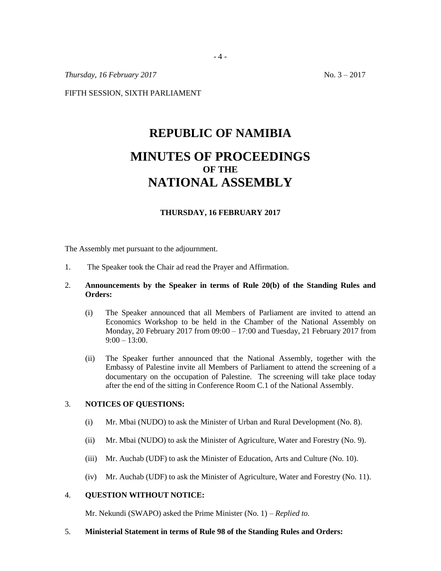*Thursday, 16 February 2017* No. 3 – 2017

FIFTH SESSION, SIXTH PARLIAMENT

# **REPUBLIC OF NAMIBIA MINUTES OF PROCEEDINGS OF THE NATIONAL ASSEMBLY**

## **THURSDAY, 16 FEBRUARY 2017**

The Assembly met pursuant to the adjournment.

1. The Speaker took the Chair ad read the Prayer and Affirmation.

## 2. **Announcements by the Speaker in terms of Rule 20(b) of the Standing Rules and Orders:**

- (i) The Speaker announced that all Members of Parliament are invited to attend an Economics Workshop to be held in the Chamber of the National Assembly on Monday, 20 February 2017 from  $0.00 - 17:00$  and Tuesday, 21 February 2017 from  $9:00 - 13:00.$
- (ii) The Speaker further announced that the National Assembly, together with the Embassy of Palestine invite all Members of Parliament to attend the screening of a documentary on the occupation of Palestine. The screening will take place today after the end of the sitting in Conference Room C.1 of the National Assembly.

### 3. **NOTICES OF QUESTIONS:**

- (i) Mr. Mbai (NUDO) to ask the Minister of Urban and Rural Development (No. 8).
- (ii) Mr. Mbai (NUDO) to ask the Minister of Agriculture, Water and Forestry (No. 9).
- (iii) Mr. Auchab (UDF) to ask the Minister of Education, Arts and Culture (No. 10).
- (iv) Mr. Auchab (UDF) to ask the Minister of Agriculture, Water and Forestry (No. 11).

## 4. **QUESTION WITHOUT NOTICE:**

Mr. Nekundi (SWAPO) asked the Prime Minister (No. 1) – *Replied to.*

5. **Ministerial Statement in terms of Rule 98 of the Standing Rules and Orders:**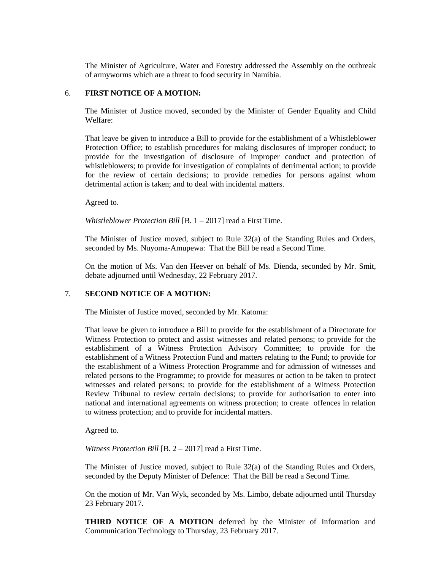The Minister of Agriculture, Water and Forestry addressed the Assembly on the outbreak of armyworms which are a threat to food security in Namibia.

### 6. **FIRST NOTICE OF A MOTION:**

The Minister of Justice moved, seconded by the Minister of Gender Equality and Child Welfare:

That leave be given to introduce a Bill to provide for the establishment of a Whistleblower Protection Office; to establish procedures for making disclosures of improper conduct; to provide for the investigation of disclosure of improper conduct and protection of whistleblowers; to provide for investigation of complaints of detrimental action; to provide for the review of certain decisions; to provide remedies for persons against whom detrimental action is taken; and to deal with incidental matters.

Agreed to.

*Whistleblower Protection Bill* [B. 1 – 2017] read a First Time.

The Minister of Justice moved, subject to Rule 32(a) of the Standing Rules and Orders, seconded by Ms. Nuyoma-Amupewa: That the Bill be read a Second Time.

On the motion of Ms. Van den Heever on behalf of Ms. Dienda, seconded by Mr. Smit, debate adjourned until Wednesday, 22 February 2017.

## 7. **SECOND NOTICE OF A MOTION:**

The Minister of Justice moved, seconded by Mr. Katoma:

That leave be given to introduce a Bill to provide for the establishment of a Directorate for Witness Protection to protect and assist witnesses and related persons; to provide for the establishment of a Witness Protection Advisory Committee; to provide for the establishment of a Witness Protection Fund and matters relating to the Fund; to provide for the establishment of a Witness Protection Programme and for admission of witnesses and related persons to the Programme; to provide for measures or action to be taken to protect witnesses and related persons; to provide for the establishment of a Witness Protection Review Tribunal to review certain decisions; to provide for authorisation to enter into national and international agreements on witness protection; to create offences in relation to witness protection; and to provide for incidental matters.

Agreed to.

*Witness Protection Bill* [B. 2 – 2017] read a First Time.

The Minister of Justice moved, subject to Rule 32(a) of the Standing Rules and Orders, seconded by the Deputy Minister of Defence: That the Bill be read a Second Time.

On the motion of Mr. Van Wyk, seconded by Ms. Limbo, debate adjourned until Thursday 23 February 2017.

**THIRD NOTICE OF A MOTION** deferred by the Minister of Information and Communication Technology to Thursday, 23 February 2017.